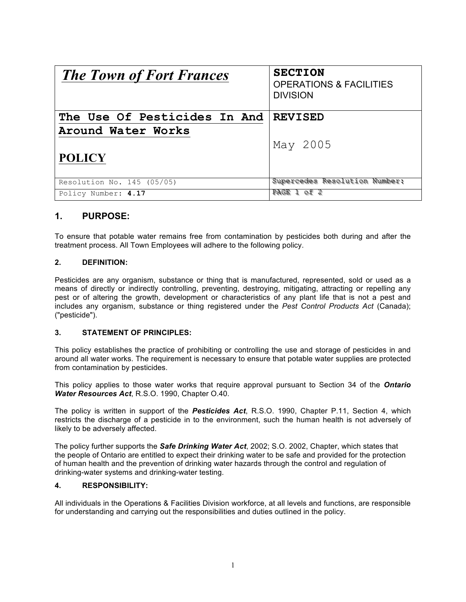| <b>The Town of Fort Frances</b> | <b>SECTION</b><br><b>OPERATIONS &amp; FACILITIES</b><br><b>DIVISION</b> |
|---------------------------------|-------------------------------------------------------------------------|
| The Use Of Pesticides In And    | <b>REVISED</b>                                                          |
| Around Water Works              |                                                                         |
|                                 | May 2005                                                                |
| <b>POLICY</b>                   |                                                                         |
| Resolution No. 145 (05/05)      | Supercedes Resolution Number:                                           |
| Policy Number: 4.17             | $PAGE$ 1 $QE$ 2                                                         |

# **1. PURPOSE:**

To ensure that potable water remains free from contamination by pesticides both during and after the treatment process. All Town Employees will adhere to the following policy.

## **2. DEFINITION:**

Pesticides are any organism, substance or thing that is manufactured, represented, sold or used as a means of directly or indirectly controlling, preventing, destroying, mitigating, attracting or repelling any pest or of altering the growth, development or characteristics of any plant life that is not a pest and includes any organism, substance or thing registered under the *Pest Control Products Act* (Canada); ("pesticide").

## **3. STATEMENT OF PRINCIPLES:**

This policy establishes the practice of prohibiting or controlling the use and storage of pesticides in and around all water works. The requirement is necessary to ensure that potable water supplies are protected from contamination by pesticides.

This policy applies to those water works that require approval pursuant to Section 34 of the *Ontario Water Resources Act*, R.S.O. 1990, Chapter O.40.

The policy is written in support of the *Pesticides Act*, R.S.O. 1990, Chapter P.11, Section 4, which restricts the discharge of a pesticide in to the environment, such the human health is not adversely of likely to be adversely affected.

The policy further supports the *Safe Drinking Water Act*, 2002; S.O. 2002, Chapter, which states that the people of Ontario are entitled to expect their drinking water to be safe and provided for the protection of human health and the prevention of drinking water hazards through the control and regulation of drinking-water systems and drinking-water testing.

## **4. RESPONSIBILITY:**

All individuals in the Operations & Facilities Division workforce, at all levels and functions, are responsible for understanding and carrying out the responsibilities and duties outlined in the policy.